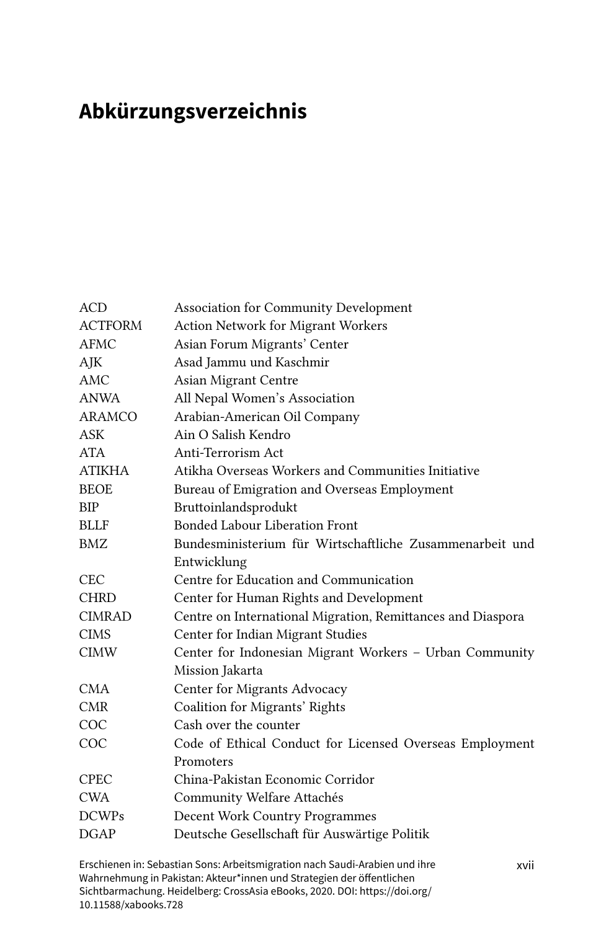## **Abkürzungsverzeichnis**

| ACD            | Association for Community Development                       |
|----------------|-------------------------------------------------------------|
| <b>ACTFORM</b> | Action Network for Migrant Workers                          |
| AFMC           | Asian Forum Migrants' Center                                |
| АJK            | Asad Jammu und Kaschmir                                     |
| AMC            | Asian Migrant Centre                                        |
| ANWA           | All Nepal Women's Association                               |
| <b>ARAMCO</b>  | Arabian-American Oil Company                                |
| ASK            | Ain O Salish Kendro                                         |
| ATA            | Anti-Terrorism Act                                          |
| <b>ATIKHA</b>  | Atikha Overseas Workers and Communities Initiative          |
| BEOE           | Bureau of Emigration and Overseas Employment                |
| BIP            | Bruttoinlandsprodukt                                        |
| BLLF           | <b>Bonded Labour Liberation Front</b>                       |
| BMZ            | Bundesministerium für Wirtschaftliche Zusammenarbeit und    |
|                | Entwicklung                                                 |
| CEC            | Centre for Education and Communication                      |
| CHRD           | Center for Human Rights and Development                     |
| <b>CIMRAD</b>  | Centre on International Migration, Remittances and Diaspora |
| <b>CIMS</b>    | Center for Indian Migrant Studies                           |
| CIMW           | Center for Indonesian Migrant Workers - Urban Community     |
|                | Mission Jakarta                                             |
| CMA            | Center for Migrants Advocacy                                |
| <b>CMR</b>     | Coalition for Migrants' Rights                              |
| COC            | Cash over the counter                                       |
| COC            | Code of Ethical Conduct for Licensed Overseas Employment    |
|                | Promoters                                                   |
| <b>CPEC</b>    | China-Pakistan Economic Corridor                            |
| CWA            | Community Welfare Attachés                                  |
| <b>DCWPs</b>   | Decent Work Country Programmes                              |
| DGAP           | Deutsche Gesellschaft für Auswärtige Politik                |
|                |                                                             |

Erschienen in: Sebastian Sons: Arbeitsmigration nach Saudi-Arabien und ihre Wahrnehmung in Pakistan: Akteur\*innen und Strategien der öffentlichen Sichtbarmachung. Heidelberg: CrossAsia eBooks, 2020. DOI: [https://doi.org/](https://doi.org/10.11588/xabooks.728) [10.11588/xabooks.728](https://doi.org/10.11588/xabooks.728)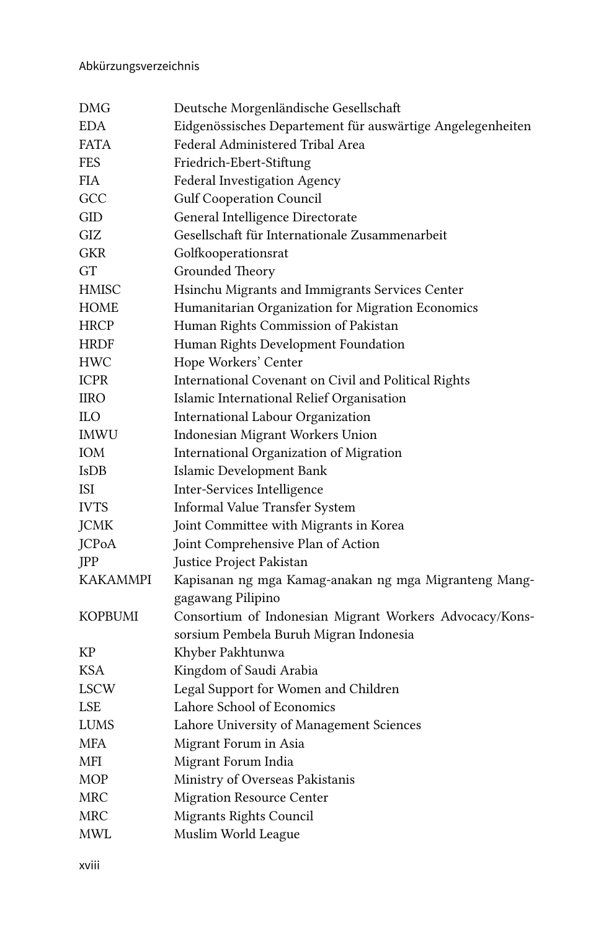| <b>DMG</b>      | Deutsche Morgenländische Gesellschaft                                      |
|-----------------|----------------------------------------------------------------------------|
| <b>EDA</b>      | Eidgenössisches Departement für auswärtige Angelegenheiten                 |
| FATA            | Federal Administered Tribal Area                                           |
| <b>FES</b>      | Friedrich-Ebert-Stiftung                                                   |
| <b>FIA</b>      | Federal Investigation Agency                                               |
| GCC             | <b>Gulf Cooperation Council</b>                                            |
| GID             | General Intelligence Directorate                                           |
| GIZ             | Gesellschaft für Internationale Zusammenarbeit                             |
| GKR             | Golfkooperationsrat                                                        |
| <b>GT</b>       | Grounded Theory                                                            |
| <b>HMISC</b>    | Hsinchu Migrants and Immigrants Services Center                            |
| <b>HOME</b>     | Humanitarian Organization for Migration Economics                          |
| <b>HRCP</b>     | Human Rights Commission of Pakistan                                        |
| <b>HRDF</b>     | Human Rights Development Foundation                                        |
| HWC             | Hope Workers' Center                                                       |
| <b>ICPR</b>     | International Covenant on Civil and Political Rights                       |
| <b>IIRO</b>     | Islamic International Relief Organisation                                  |
| ILO.            | International Labour Organization                                          |
| <b>IMWU</b>     | Indonesian Migrant Workers Union                                           |
| IOM             | International Organization of Migration                                    |
| <b>IsDB</b>     | Islamic Development Bank                                                   |
| ISI             | Inter-Services Intelligence                                                |
| <b>IVTS</b>     | Informal Value Transfer System                                             |
| <b>JCMK</b>     | Joint Committee with Migrants in Korea                                     |
| <b>JCPoA</b>    | Joint Comprehensive Plan of Action                                         |
| JPP             | Justice Project Pakistan                                                   |
| <b>KAKAMMPI</b> | Kapisanan ng mga Kamag-anakan ng mga Migranteng Mang-<br>gagawang Pilipino |
| KOPBUMI         | Consortium of Indonesian Migrant Workers Advocacy/Kons-                    |
|                 | sorsium Pembela Buruh Migran Indonesia                                     |
| KP              | Khyber Pakhtunwa                                                           |
| KSA             | Kingdom of Saudi Arabia                                                    |
| <b>LSCW</b>     | Legal Support for Women and Children                                       |
| <b>LSE</b>      | Lahore School of Economics                                                 |
| <b>LUMS</b>     | Lahore University of Management Sciences                                   |
| MFA             | Migrant Forum in Asia                                                      |
| MFI             | Migrant Forum India                                                        |
| <b>MOP</b>      | Ministry of Overseas Pakistanis                                            |
| <b>MRC</b>      | Migration Resource Center                                                  |
| <b>MRC</b>      | Migrants Rights Council                                                    |
| <b>MWL</b>      | Muslim World League                                                        |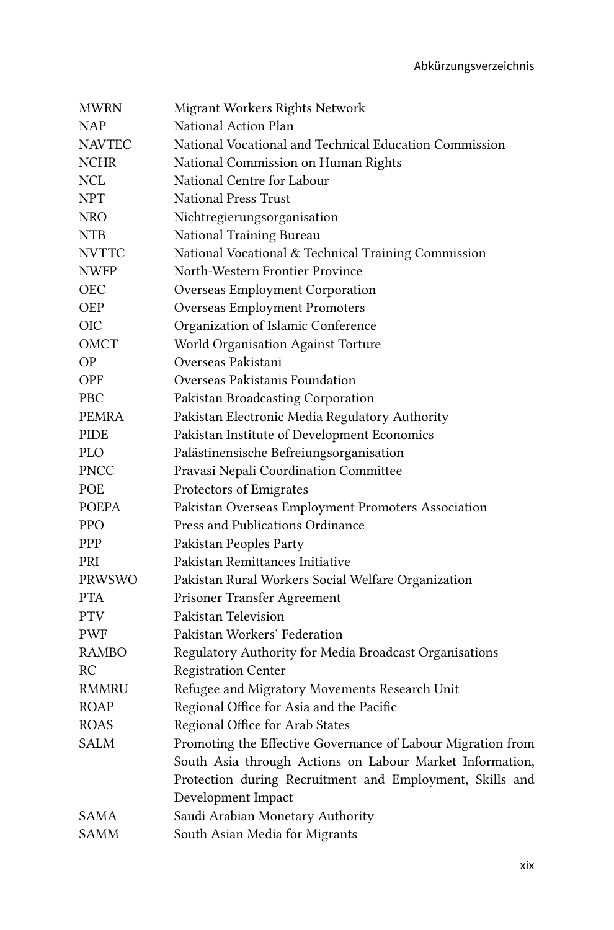| <b>MWRN</b>   | Migrant Workers Rights Network                              |
|---------------|-------------------------------------------------------------|
| <b>NAP</b>    | National Action Plan                                        |
| <b>NAVTEC</b> | National Vocational and Technical Education Commission      |
| <b>NCHR</b>   | National Commission on Human Rights                         |
| <b>NCL</b>    | National Centre for Labour                                  |
| <b>NPT</b>    | <b>National Press Trust</b>                                 |
| <b>NRO</b>    | Nichtregierungsorganisation                                 |
| NTB           | National Training Bureau                                    |
| <b>NVTTC</b>  | National Vocational & Technical Training Commission         |
| <b>NWFP</b>   | North-Western Frontier Province                             |
| <b>OEC</b>    | Overseas Employment Corporation                             |
| OEP           | Overseas Employment Promoters                               |
| OIC           | Organization of Islamic Conference                          |
| OMCT          | World Organisation Against Torture                          |
| <b>OP</b>     | Overseas Pakistani                                          |
| <b>OPF</b>    | Overseas Pakistanis Foundation                              |
| <b>PBC</b>    | Pakistan Broadcasting Corporation                           |
| <b>PEMRA</b>  | Pakistan Electronic Media Regulatory Authority              |
| <b>PIDE</b>   | Pakistan Institute of Development Economics                 |
| <b>PLO</b>    | Palästinensische Befreiungsorganisation                     |
| <b>PNCC</b>   | Pravasi Nepali Coordination Committee                       |
| POE           | Protectors of Emigrates                                     |
| <b>POEPA</b>  | Pakistan Overseas Employment Promoters Association          |
| <b>PPO</b>    | Press and Publications Ordinance                            |
| PPP           | Pakistan Peoples Party                                      |
| PRI           | Pakistan Remittances Initiative                             |
| PRWSWO        | Pakistan Rural Workers Social Welfare Organization          |
| PTA           | Prisoner Transfer Agreement                                 |
| <b>PTV</b>    | Pakistan Television                                         |
| PWF           | Pakistan Workers' Federation                                |
| RAMBO         | Regulatory Authority for Media Broadcast Organisations      |
| RC            | <b>Registration Center</b>                                  |
| RMMRU         | Refugee and Migratory Movements Research Unit               |
| ROAP          | Regional Office for Asia and the Pacific                    |
| ROAS          | Regional Office for Arab States                             |
| SALM          | Promoting the Effective Governance of Labour Migration from |
|               | South Asia through Actions on Labour Market Information,    |
|               | Protection during Recruitment and Employment, Skills and    |
|               | Development Impact                                          |
| SAMA          | Saudi Arabian Monetary Authority                            |
| <b>SAMM</b>   | South Asian Media for Migrants                              |